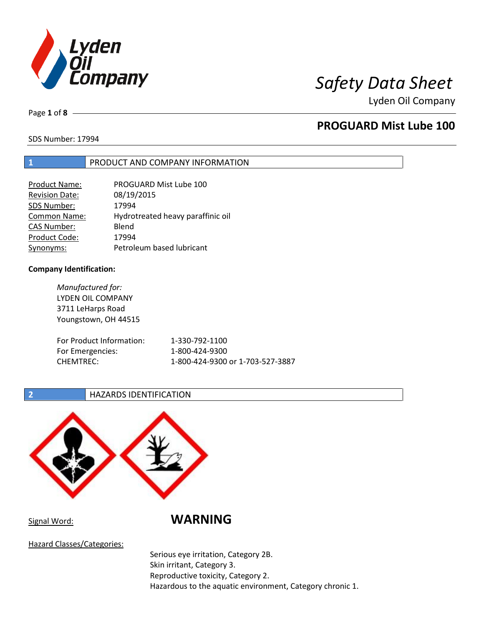

Lyden Oil Company

Page **1** of **8**

# **PROGUARD Mist Lube 100**

SDS Number: 17994

### **1** PRODUCT AND COMPANY INFORMATION

| <b>Product Name:</b>  | PROGUARD Mist Lube 100            |
|-----------------------|-----------------------------------|
| <b>Revision Date:</b> | 08/19/2015                        |
| SDS Number:           | 17994                             |
| Common Name:          | Hydrotreated heavy paraffinic oil |
| <b>CAS Number:</b>    | Blend                             |
| Product Code:         | 17994                             |
| Synonyms:             | Petroleum based lubricant         |

#### **Company Identification:**

*Manufactured for:* LYDEN OIL COMPANY 3711 LeHarps Road Youngstown, OH 44515 For Product Information: 1-330-792-1100 For Emergencies: 1-800-424-9300 CHEMTREC: 1-800-424-9300 or 1-703-527-3887

### **2 HAZARDS IDENTIFICATION**



Signal Word: **WARNING**

Hazard Classes/Categories:

Serious eye irritation, Category 2B. Skin irritant, Category 3. Reproductive toxicity, Category 2. Hazardous to the aquatic environment, Category chronic 1.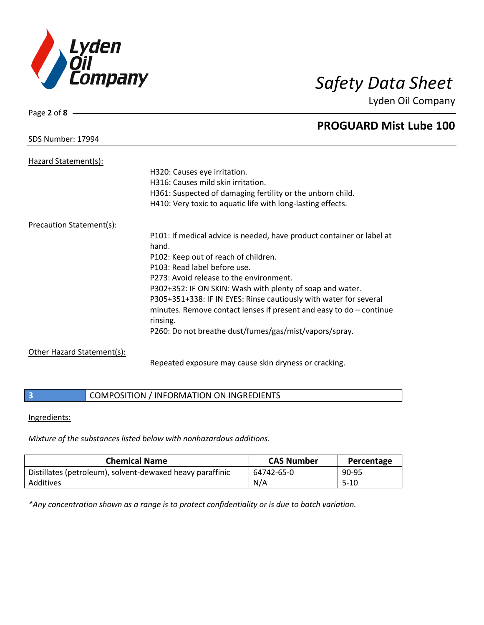

Lyden Oil Company

# **PROGUARD Mist Lube 100**

SDS Number: 17994

Page **2** of **8**

| Hazard Statement(s):            |                                                                                   |
|---------------------------------|-----------------------------------------------------------------------------------|
|                                 | H320: Causes eye irritation.                                                      |
|                                 | H316: Causes mild skin irritation.                                                |
|                                 | H361: Suspected of damaging fertility or the unborn child.                        |
|                                 | H410: Very toxic to aquatic life with long-lasting effects.                       |
| <b>Precaution Statement(s):</b> |                                                                                   |
|                                 | P101: If medical advice is needed, have product container or label at<br>hand.    |
|                                 | P102: Keep out of reach of children.                                              |
|                                 | P103: Read label before use.                                                      |
|                                 | P273: Avoid release to the environment.                                           |
|                                 | P302+352: IF ON SKIN: Wash with plenty of soap and water.                         |
|                                 | P305+351+338: IF IN EYES: Rinse cautiously with water for several                 |
|                                 | minutes. Remove contact lenses if present and easy to $do$ – continue<br>rinsing. |
|                                 | P260: Do not breathe dust/fumes/gas/mist/vapors/spray.                            |
| Other Hazard Statement(s):      |                                                                                   |
|                                 | Repeated exposure may cause skin dryness or cracking.                             |

### **3** COMPOSITION / INFORMATION ON INGREDIENTS

#### Ingredients:

*Mixture of the substances listed below with nonhazardous additions.*

| <b>Chemical Name</b>                                      | <b>CAS Number</b> | Percentage |
|-----------------------------------------------------------|-------------------|------------|
| Distillates (petroleum), solvent-dewaxed heavy paraffinic | 64742-65-0        | 90-95      |
| Additives                                                 | N/A               | $5-10$     |

*\*Any concentration shown as a range is to protect confidentiality or is due to batch variation.*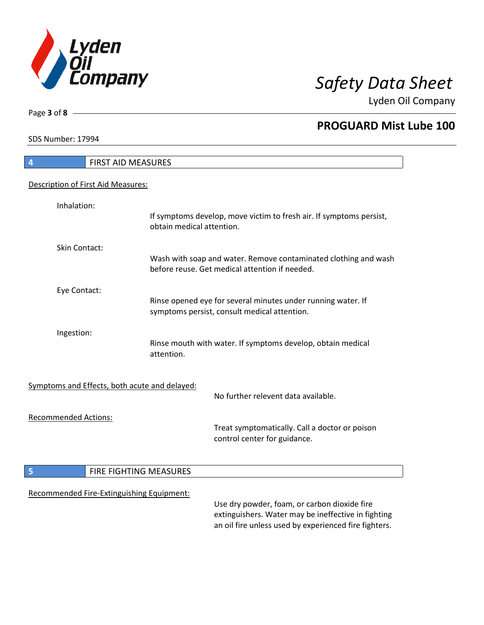

Lyden Oil Company

SDS Number: 17994

Page **3** of **8**

# **4** FIRST AID MEASURES Description of First Aid Measures: Inhalation: If symptoms develop, move victim to fresh air. If symptoms persist, obtain medical attention. Skin Contact: Wash with soap and water. Remove contaminated clothing and wash before reuse. Get medical attention if needed. Eye Contact: Rinse opened eye for several minutes under running water. If symptoms persist, consult medical attention. Ingestion: Rinse mouth with water. If symptoms develop, obtain medical attention. Symptoms and Effects, both acute and delayed: No further relevent data available. Recommended Actions: Treat symptomatically. Call a doctor or poison control center for guidance. **5 FIRE FIGHTING MEASURES** Recommended Fire-Extinguishing Equipment: Use dry powder, foam, or carbon dioxide fire extinguishers. Water may be ineffective in fighting

an oil fire unless used by experienced fire fighters.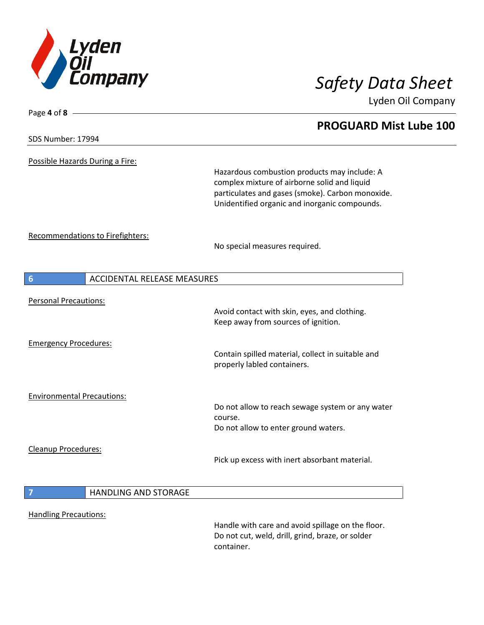

Lyden Oil Company

### SDS Number: 17994

Page **4** of **8**

Possible Hazards During a Fire:

Hazardous combustion products may include: A complex mixture of airborne solid and liquid particulates and gases (smoke). Carbon monoxide. Unidentified organic and inorganic compounds.

Recommendations to Firefighters:

No special measures required.

| 6                                  | <b>ACCIDENTAL RELEASE MEASURES</b> |                                                                                  |
|------------------------------------|------------------------------------|----------------------------------------------------------------------------------|
| <b>Personal Precautions:</b>       |                                    | Avoid contact with skin, eyes, and clothing.                                     |
| <b>Emergency Procedures:</b>       |                                    | Keep away from sources of ignition.                                              |
|                                    |                                    | Contain spilled material, collect in suitable and<br>properly labled containers. |
| <b>Environmental Precautions:</b>  |                                    | Do not allow to reach sewage system or any water                                 |
|                                    |                                    | course.<br>Do not allow to enter ground waters.                                  |
| Cleanup Procedures:                |                                    | Pick up excess with inert absorbant material.                                    |
| $\begin{array}{c} \n7 \end{array}$ | HANDLING AND STORAGE               |                                                                                  |
| <b>Handling Precautions:</b>       |                                    | Handle with care and avoid spillage on the floor.                                |
|                                    |                                    | Do not cut, weld, drill, grind, braze, or solder<br>container.                   |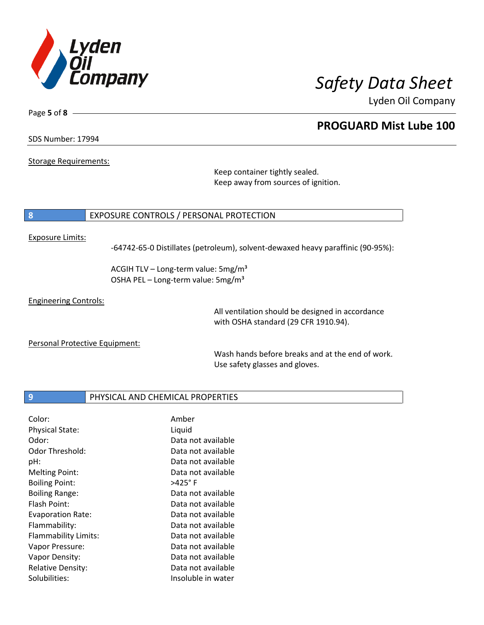

Lyden Oil Company

SDS Number: 17994

Page **5** of **8**

Storage Requirements:

Keep container tightly sealed. Keep away from sources of ignition.

### **8** EXPOSURE CONTROLS / PERSONAL PROTECTION

#### Exposure Limits:

-64742-65-0 Distillates (petroleum), solvent-dewaxed heavy paraffinic (90-95%):

ACGIH TLV – Long-term value:  $5mg/m<sup>3</sup>$ OSHA PEL - Long-term value: 5mg/m<sup>3</sup>

Engineering Controls:

All ventilation should be designed in accordance with OSHA standard (29 CFR 1910.94).

Personal Protective Equipment:

Wash hands before breaks and at the end of work. Use safety glasses and gloves.

### **9** PHYSICAL AND CHEMICAL PROPERTIES

| Color:                   | Amber              |
|--------------------------|--------------------|
| <b>Physical State:</b>   | Liquid             |
| Odor:                    | Data not available |
| Odor Threshold:          | Data not available |
| pH:                      | Data not available |
| <b>Melting Point:</b>    | Data not available |
| <b>Boiling Point:</b>    | $>425^\circ$ F     |
| <b>Boiling Range:</b>    | Data not available |
| Flash Point:             | Data not available |
| <b>Evaporation Rate:</b> | Data not available |
| Flammability:            | Data not available |
| Flammability Limits:     | Data not available |
| Vapor Pressure:          | Data not available |
| Vapor Density:           | Data not available |
| <b>Relative Density:</b> | Data not available |
| Solubilities:            | Insoluble in water |

# **PROGUARD Mist Lube 100**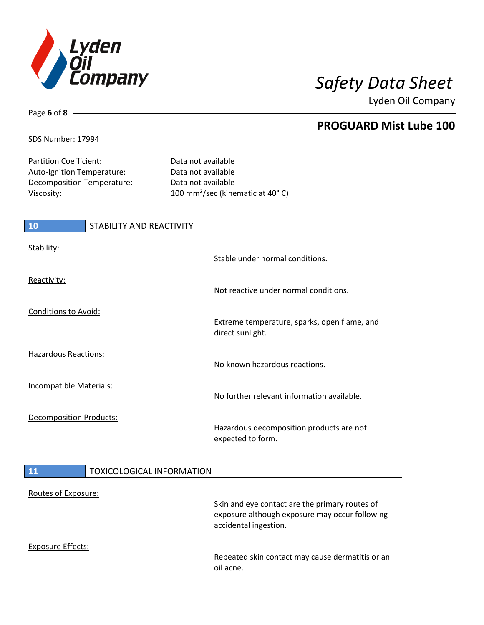

Lyden Oil Company

### SDS Number: 17994

Page **6** of **8**

Partition Coefficient: Data not available Auto-Ignition Temperature: Data not available Decomposition Temperature: Data not available

Viscosity: 100 mm²/sec (kinematic at 40° C)

| <b>10</b>                      | <b>STABILITY AND REACTIVITY</b>  |                                                                  |
|--------------------------------|----------------------------------|------------------------------------------------------------------|
| Stability:                     |                                  | Stable under normal conditions.                                  |
| Reactivity:                    |                                  | Not reactive under normal conditions.                            |
| <b>Conditions to Avoid:</b>    |                                  | Extreme temperature, sparks, open flame, and<br>direct sunlight. |
| <b>Hazardous Reactions:</b>    |                                  | No known hazardous reactions.                                    |
| <b>Incompatible Materials:</b> |                                  | No further relevant information available.                       |
| <b>Decomposition Products:</b> |                                  | Hazardous decomposition products are not<br>expected to form.    |
| <b>11</b>                      | <b>TOXICOLOGICAL INFORMATION</b> |                                                                  |
| Routes of Exposure:            |                                  | Skin and eve contact are the primary routes of                   |

Skin and eye contact are the primary routes of exposure although exposure may occur following accidental ingestion.

Exposure Effects:

Repeated skin contact may cause dermatitis or an oil acne.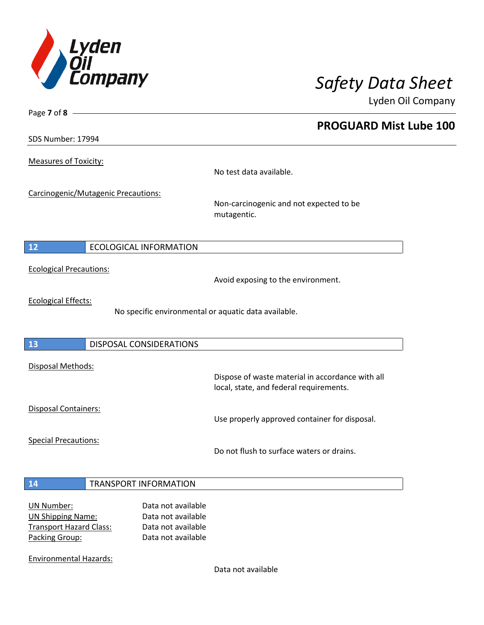

Lyden Oil Company

SDS Number: 17994

Page **7** of **8**

Measures of Toxicity:

No test data available.

Carcinogenic/Mutagenic Precautions:

Non-carcinogenic and not expected to be mutagentic.

### **12** ECOLOGICAL INFORMATION

Ecological Precautions:

Avoid exposing to the environment.

Ecological Effects:

No specific environmental or aquatic data available.

### **13** DISPOSAL CONSIDERATIONS

Disposal Methods:

Disposal Containers:

Use properly approved container for disposal.

Dispose of waste material in accordance with all

Special Precautions:

Do not flush to surface waters or drains.

local, state, and federal requirements.

#### **14** TRANSPORT INFORMATION

| UN Number:                     | Data not available |
|--------------------------------|--------------------|
| <b>UN Shipping Name:</b>       | Data not available |
| <b>Transport Hazard Class:</b> | Data not available |
| Packing Group:                 | Data not available |

Environmental Hazards:

Data not available